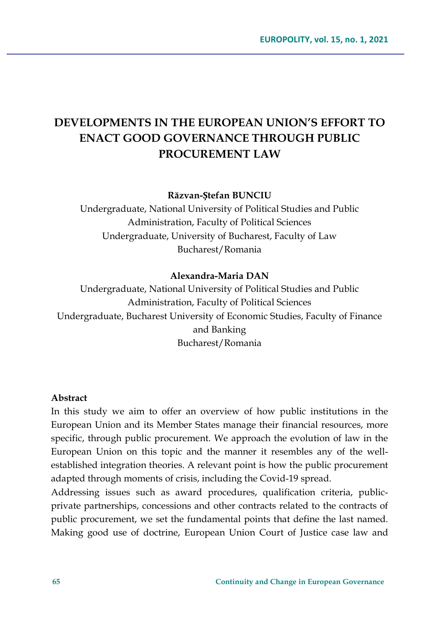# **DEVELOPMENTS IN THE EUROPEAN UNION'S EFFORT TO ENACT GOOD GOVERNANCE THROUGH PUBLIC PROCUREMENT LAW**

#### **Răzvan-Ștefan BUNCIU**

Undergraduate, National University of Political Studies and Public Administration, Faculty of Political Sciences Undergraduate, University of Bucharest, Faculty of Law Bucharest/Romania

#### **Alexandra-Maria DAN**

Undergraduate, National University of Political Studies and Public Administration, Faculty of Political Sciences Undergraduate, Bucharest University of Economic Studies, Faculty of Finance and Banking Bucharest/Romania

#### **Abstract**

In this study we aim to offer an overview of how public institutions in the European Union and its Member States manage their financial resources, more specific, through public procurement. We approach the evolution of law in the European Union on this topic and the manner it resembles any of the wellestablished integration theories. A relevant point is how the public procurement adapted through moments of crisis, including the Covid-19 spread.

Addressing issues such as award procedures, qualification criteria, publicprivate partnerships, concessions and other contracts related to the contracts of public procurement, we set the fundamental points that define the last named. Making good use of doctrine, European Union Court of Justice case law and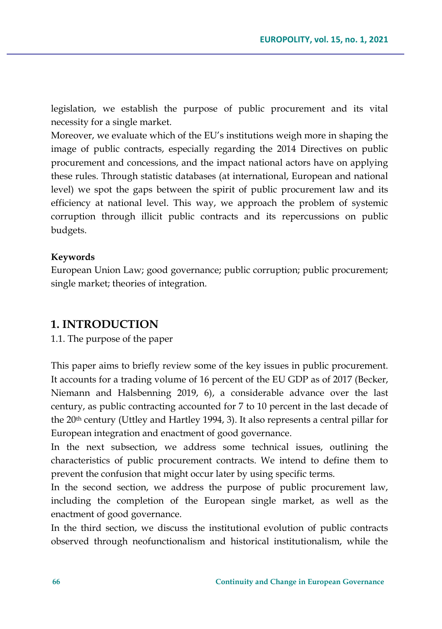legislation, we establish the purpose of public procurement and its vital necessity for a single market.

Moreover, we evaluate which of the EU's institutions weigh more in shaping the image of public contracts, especially regarding the 2014 Directives on public procurement and concessions, and the impact national actors have on applying these rules. Through statistic databases (at international, European and national level) we spot the gaps between the spirit of public procurement law and its efficiency at national level. This way, we approach the problem of systemic corruption through illicit public contracts and its repercussions on public budgets.

#### **Keywords**

European Union Law; good governance; public corruption; public procurement; single market; theories of integration.

## **1. INTRODUCTION**

1.1. The purpose of the paper

This paper aims to briefly review some of the key issues in public procurement. It accounts for a trading volume of 16 percent of the EU GDP as of 2017 (Becker, Niemann and Halsbenning 2019, 6), a considerable advance over the last century, as public contracting accounted for 7 to 10 percent in the last decade of the 20<sup>th</sup> century (Uttley and Hartley 1994, 3). It also represents a central pillar for European integration and enactment of good governance.

In the next subsection, we address some technical issues, outlining the characteristics of public procurement contracts. We intend to define them to prevent the confusion that might occur later by using specific terms.

In the second section, we address the purpose of public procurement law, including the completion of the European single market, as well as the enactment of good governance.

In the third section, we discuss the institutional evolution of public contracts observed through neofunctionalism and historical institutionalism, while the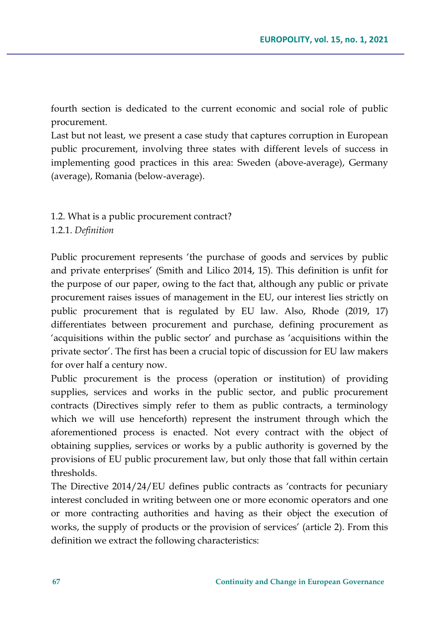fourth section is dedicated to the current economic and social role of public procurement.

Last but not least, we present a case study that captures corruption in European public procurement, involving three states with different levels of success in implementing good practices in this area: Sweden (above-average), Germany (average), Romania (below-average).

1.2. What is a public procurement contract? 1.2.1. *Definition*

Public procurement represents 'the purchase of goods and services by public and private enterprises' (Smith and Lilico 2014, 15). This definition is unfit for the purpose of our paper, owing to the fact that, although any public or private procurement raises issues of management in the EU, our interest lies strictly on public procurement that is regulated by EU law. Also, Rhode (2019, 17) differentiates between procurement and purchase, defining procurement as 'acquisitions within the public sector' and purchase as 'acquisitions within the private sector'. The first has been a crucial topic of discussion for EU law makers for over half a century now.

Public procurement is the process (operation or institution) of providing supplies, services and works in the public sector, and public procurement contracts (Directives simply refer to them as public contracts, a terminology which we will use henceforth) represent the instrument through which the aforementioned process is enacted. Not every contract with the object of obtaining supplies, services or works by a public authority is governed by the provisions of EU public procurement law, but only those that fall within certain thresholds.

The Directive 2014/24/EU defines public contracts as 'contracts for pecuniary interest concluded in writing between one or more economic operators and one or more contracting authorities and having as their object the execution of works, the supply of products or the provision of services' (article 2). From this definition we extract the following characteristics: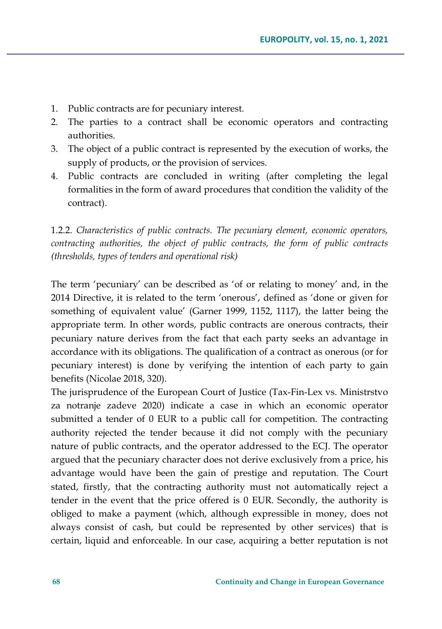- 1. Public contracts are for pecuniary interest.
- 2. The parties to a contract shall be economic operators and contracting authorities.
- 3. The object of a public contract is represented by the execution of works, the supply of products, or the provision of services.
- 4. Public contracts are concluded in writing (after completing the legal formalities in the form of award procedures that condition the validity of the contract).

1.2.2. *Characteristics of public contracts. The pecuniary element, economic operators, contracting authorities, the object of public contracts, the form of public contracts (thresholds, types of tenders and operational risk)*

The term 'pecuniary' can be described as 'of or relating to money' and, in the 2014 Directive, it is related to the term 'onerous', defined as 'done or given for something of equivalent value' (Garner 1999, 1152, 1117), the latter being the appropriate term. In other words, public contracts are onerous contracts, their pecuniary nature derives from the fact that each party seeks an advantage in accordance with its obligations. The qualification of a contract as onerous (or for pecuniary interest) is done by verifying the intention of each party to gain benefits (Nicolae 2018, 320).

The jurisprudence of the European Court of Justice (Tax-Fin-Lex vs. Ministrstvo za notranje zadeve 2020) indicate a case in which an economic operator submitted a tender of 0 EUR to a public call for competition. The contracting authority rejected the tender because it did not comply with the pecuniary nature of public contracts, and the operator addressed to the ECJ. The operator argued that the pecuniary character does not derive exclusively from a price, his advantage would have been the gain of prestige and reputation. The Court stated, firstly, that the contracting authority must not automatically reject a tender in the event that the price offered is 0 EUR. Secondly, the authority is obliged to make a payment (which, although expressible in money, does not always consist of cash, but could be represented by other services) that is certain, liquid and enforceable. In our case, acquiring a better reputation is not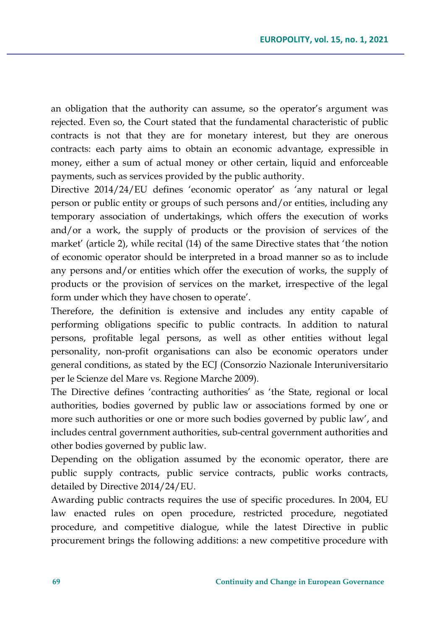an obligation that the authority can assume, so the operator's argument was rejected. Even so, the Court stated that the fundamental characteristic of public contracts is not that they are for monetary interest, but they are onerous contracts: each party aims to obtain an economic advantage, expressible in money, either a sum of actual money or other certain, liquid and enforceable payments, such as services provided by the public authority.

Directive 2014/24/EU defines 'economic operator' as 'any natural or legal person or public entity or groups of such persons and/or entities, including any temporary association of undertakings, which offers the execution of works and/or a work, the supply of products or the provision of services of the market' (article 2), while recital (14) of the same Directive states that 'the notion of economic operator should be interpreted in a broad manner so as to include any persons and/or entities which offer the execution of works, the supply of products or the provision of services on the market, irrespective of the legal form under which they have chosen to operate'.

Therefore, the definition is extensive and includes any entity capable of performing obligations specific to public contracts. In addition to natural persons, profitable legal persons, as well as other entities without legal personality, non-profit organisations can also be economic operators under general conditions, as stated by the ECJ (Consorzio Nazionale Interuniversitario per le Scienze del Mare vs. Regione Marche 2009).

The Directive defines 'contracting authorities' as 'the State, regional or local authorities, bodies governed by public law or associations formed by one or more such authorities or one or more such bodies governed by public law', and includes central government authorities, sub-central government authorities and other bodies governed by public law.

Depending on the obligation assumed by the economic operator, there are public supply contracts, public service contracts, public works contracts, detailed by Directive 2014/24/EU.

Awarding public contracts requires the use of specific procedures. In 2004, EU law enacted rules on open procedure, restricted procedure, negotiated procedure, and competitive dialogue, while the latest Directive in public procurement brings the following additions: a new competitive procedure with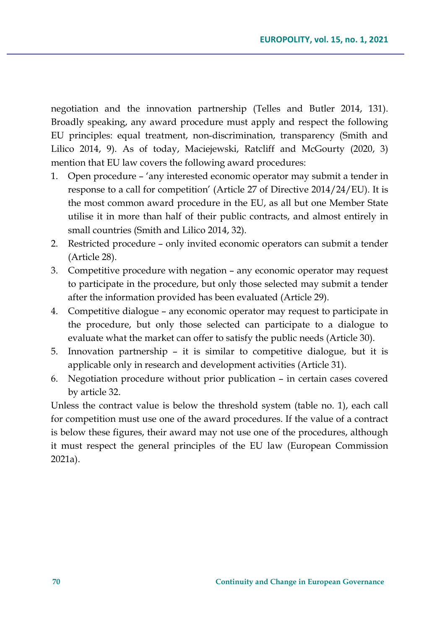negotiation and the innovation partnership (Telles and Butler 2014, 131). Broadly speaking, any award procedure must apply and respect the following EU principles: equal treatment, non-discrimination, transparency (Smith and Lilico 2014, 9). As of today, Maciejewski, Ratcliff and McGourty (2020, 3) mention that EU law covers the following award procedures:

- 1. Open procedure 'any interested economic operator may submit a tender in response to a call for competition' (Article 27 of Directive 2014/24/EU). It is the most common award procedure in the EU, as all but one Member State utilise it in more than half of their public contracts, and almost entirely in small countries (Smith and Lilico 2014, 32).
- 2. Restricted procedure only invited economic operators can submit a tender (Article 28).
- 3. Competitive procedure with negation any economic operator may request to participate in the procedure, but only those selected may submit a tender after the information provided has been evaluated (Article 29).
- 4. Competitive dialogue any economic operator may request to participate in the procedure, but only those selected can participate to a dialogue to evaluate what the market can offer to satisfy the public needs (Article 30).
- 5. Innovation partnership it is similar to competitive dialogue, but it is applicable only in research and development activities (Article 31).
- 6. Negotiation procedure without prior publication in certain cases covered by article 32.

Unless the contract value is below the threshold system (table no. 1), each call for competition must use one of the award procedures. If the value of a contract is below these figures, their award may not use one of the procedures, although it must respect the general principles of the EU law (European Commission 2021a).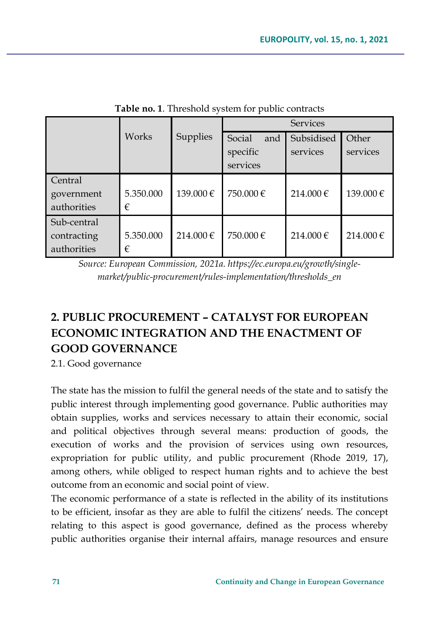|             |           |           | <b>Services</b> |            |          |
|-------------|-----------|-----------|-----------------|------------|----------|
|             | Works     | Supplies  | and<br>Social   | Subsidised | Other    |
|             |           |           | specific        | services   | services |
|             |           |           | services        |            |          |
| Central     |           |           |                 |            |          |
| government  | 5.350.000 | 139.000€  | 750.000€        | 214.000€   | 139.000€ |
| authorities | €         |           |                 |            |          |
| Sub-central |           |           |                 |            |          |
| contracting | 5.350.000 | 214.000 € | 750.000€        | 214.000€   | 214.000€ |
| authorities | €         |           |                 |            |          |

**Table no. 1**. Threshold system for public contracts

*Source: European Commission, 2021a. https://ec.europa.eu/growth/singlemarket/public-procurement/rules-implementation/thresholds\_en*

# **2. PUBLIC PROCUREMENT – CATALYST FOR EUROPEAN ECONOMIC INTEGRATION AND THE ENACTMENT OF GOOD GOVERNANCE**

2.1. Good governance

The state has the mission to fulfil the general needs of the state and to satisfy the public interest through implementing good governance. Public authorities may obtain supplies, works and services necessary to attain their economic, social and political objectives through several means: production of goods, the execution of works and the provision of services using own resources, expropriation for public utility, and public procurement (Rhode 2019, 17), among others, while obliged to respect human rights and to achieve the best outcome from an economic and social point of view.

The economic performance of a state is reflected in the ability of its institutions to be efficient, insofar as they are able to fulfil the citizens' needs. The concept relating to this aspect is good governance, defined as the process whereby public authorities organise their internal affairs, manage resources and ensure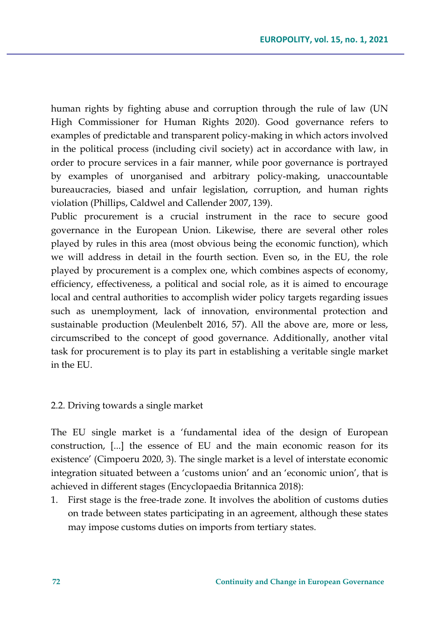human rights by fighting abuse and corruption through the rule of law (UN High Commissioner for Human Rights 2020). Good governance refers to examples of predictable and transparent policy-making in which actors involved in the political process (including civil society) act in accordance with law, in order to procure services in a fair manner, while poor governance is portrayed by examples of unorganised and arbitrary policy-making, unaccountable bureaucracies, biased and unfair legislation, corruption, and human rights violation (Phillips, Caldwel and Callender 2007, 139).

Public procurement is a crucial instrument in the race to secure good governance in the European Union. Likewise, there are several other roles played by rules in this area (most obvious being the economic function), which we will address in detail in the fourth section. Even so, in the EU, the role played by procurement is a complex one, which combines aspects of economy, efficiency, effectiveness, a political and social role, as it is aimed to encourage local and central authorities to accomplish wider policy targets regarding issues such as unemployment, lack of innovation, environmental protection and sustainable production (Meulenbelt 2016, 57). All the above are, more or less, circumscribed to the concept of good governance. Additionally, another vital task for procurement is to play its part in establishing a veritable single market in the EU.

#### 2.2. Driving towards a single market

The EU single market is a 'fundamental idea of the design of European construction, [...] the essence of EU and the main economic reason for its existence' (Cimpoeru 2020, 3). The single market is a level of interstate economic integration situated between a 'customs union' and an 'economic union', that is achieved in different stages (Encyclopaedia Britannica 2018):

1. First stage is the free-trade zone. It involves the abolition of customs duties on trade between states participating in an agreement, although these states may impose customs duties on imports from tertiary states.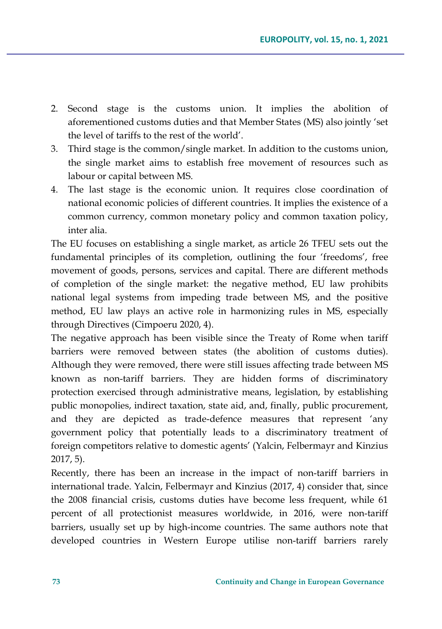- 2. Second stage is the customs union. It implies the abolition of aforementioned customs duties and that Member States (MS) also jointly 'set the level of tariffs to the rest of the world'.
- 3. Third stage is the common/single market. In addition to the customs union, the single market aims to establish free movement of resources such as labour or capital between MS.
- 4. The last stage is the economic union. It requires close coordination of national economic policies of different countries. It implies the existence of a common currency, common monetary policy and common taxation policy, inter alia.

The EU focuses on establishing a single market, as article 26 TFEU sets out the fundamental principles of its completion, outlining the four 'freedoms', free movement of goods, persons, services and capital. There are different methods of completion of the single market: the negative method, EU law prohibits national legal systems from impeding trade between MS, and the positive method, EU law plays an active role in harmonizing rules in MS, especially through Directives (Cimpoeru 2020, 4).

The negative approach has been visible since the Treaty of Rome when tariff barriers were removed between states (the abolition of customs duties). Although they were removed, there were still issues affecting trade between MS known as non-tariff barriers. They are hidden forms of discriminatory protection exercised through administrative means, legislation, by establishing public monopolies, indirect taxation, state aid, and, finally, public procurement, and they are depicted as trade-defence measures that represent 'any government policy that potentially leads to a discriminatory treatment of foreign competitors relative to domestic agents' (Yalcin, Felbermayr and Kinzius 2017, 5).

Recently, there has been an increase in the impact of non-tariff barriers in international trade. Yalcin, Felbermayr and Kinzius (2017, 4) consider that, since the 2008 financial crisis, customs duties have become less frequent, while 61 percent of all protectionist measures worldwide, in 2016, were non-tariff barriers, usually set up by high-income countries. The same authors note that developed countries in Western Europe utilise non-tariff barriers rarely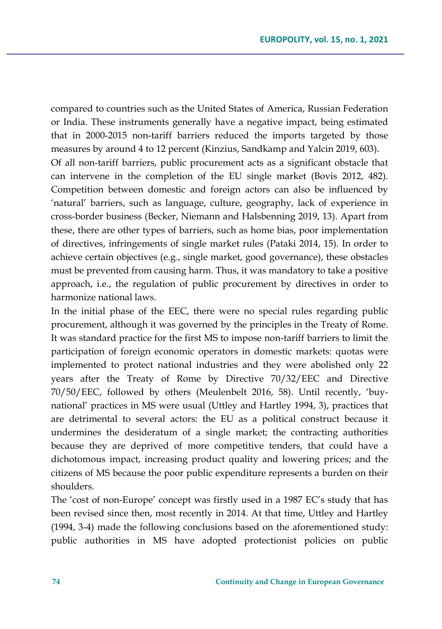compared to countries such as the United States of America, Russian Federation or India. These instruments generally have a negative impact, being estimated that in 2000-2015 non-tariff barriers reduced the imports targeted by those measures by around 4 to 12 percent (Kinzius, Sandkamp and Yalcin 2019, 603). Of all non-tariff barriers, public procurement acts as a significant obstacle that can intervene in the completion of the EU single market (Bovis 2012, 482). Competition between domestic and foreign actors can also be influenced by 'natural' barriers, such as language, culture, geography, lack of experience in cross-border business (Becker, Niemann and Halsbenning 2019, 13). Apart from these, there are other types of barriers, such as home bias, poor implementation of directives, infringements of single market rules (Pataki 2014, 15). In order to achieve certain objectives (e.g., single market, good governance), these obstacles must be prevented from causing harm. Thus, it was mandatory to take a positive approach, i.e., the regulation of public procurement by directives in order to harmonize national laws.

In the initial phase of the EEC, there were no special rules regarding public procurement, although it was governed by the principles in the Treaty of Rome. It was standard practice for the first MS to impose non-tariff barriers to limit the participation of foreign economic operators in domestic markets: quotas were implemented to protect national industries and they were abolished only 22 years after the Treaty of Rome by Directive 70/32/EEC and Directive 70/50/EEC, followed by others (Meulenbelt 2016, 58). Until recently, 'buynational' practices in MS were usual (Uttley and Hartley 1994, 3), practices that are detrimental to several actors: the EU as a political construct because it undermines the desideratum of a single market; the contracting authorities because they are deprived of more competitive tenders, that could have a dichotomous impact, increasing product quality and lowering prices; and the citizens of MS because the poor public expenditure represents a burden on their shoulders.

The 'cost of non-Europe' concept was firstly used in a 1987 EC's study that has been revised since then, most recently in 2014. At that time, Uttley and Hartley (1994, 3-4) made the following conclusions based on the aforementioned study: public authorities in MS have adopted protectionist policies on public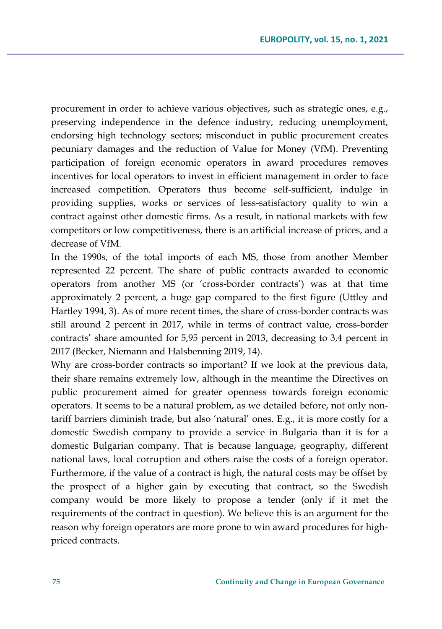procurement in order to achieve various objectives, such as strategic ones, e.g., preserving independence in the defence industry, reducing unemployment, endorsing high technology sectors; misconduct in public procurement creates pecuniary damages and the reduction of Value for Money (VfM). Preventing participation of foreign economic operators in award procedures removes incentives for local operators to invest in efficient management in order to face increased competition. Operators thus become self-sufficient, indulge in providing supplies, works or services of less-satisfactory quality to win a contract against other domestic firms. As a result, in national markets with few competitors or low competitiveness, there is an artificial increase of prices, and a decrease of VfM.

In the 1990s, of the total imports of each MS, those from another Member represented 22 percent. The share of public contracts awarded to economic operators from another MS (or 'cross-border contracts') was at that time approximately 2 percent, a huge gap compared to the first figure (Uttley and Hartley 1994, 3). As of more recent times, the share of cross-border contracts was still around 2 percent in 2017, while in terms of contract value, cross-border contracts' share amounted for 5,95 percent in 2013, decreasing to 3,4 percent in 2017 (Becker, Niemann and Halsbenning 2019, 14).

Why are cross-border contracts so important? If we look at the previous data, their share remains extremely low, although in the meantime the Directives on public procurement aimed for greater openness towards foreign economic operators. It seems to be a natural problem, as we detailed before, not only nontariff barriers diminish trade, but also 'natural' ones. E.g., it is more costly for a domestic Swedish company to provide a service in Bulgaria than it is for a domestic Bulgarian company. That is because language, geography, different national laws, local corruption and others raise the costs of a foreign operator. Furthermore, if the value of a contract is high, the natural costs may be offset by the prospect of a higher gain by executing that contract, so the Swedish company would be more likely to propose a tender (only if it met the requirements of the contract in question). We believe this is an argument for the reason why foreign operators are more prone to win award procedures for highpriced contracts.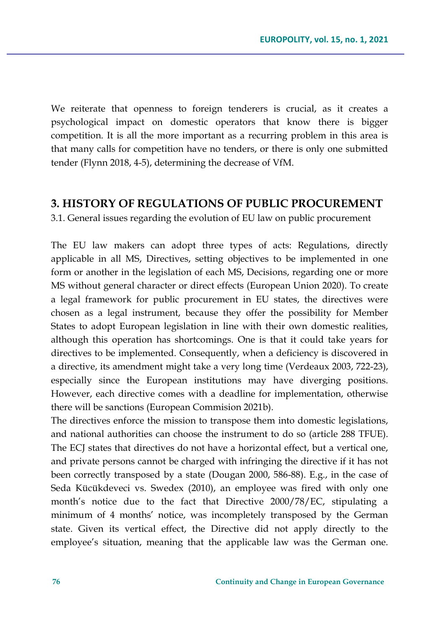We reiterate that openness to foreign tenderers is crucial, as it creates a psychological impact on domestic operators that know there is bigger competition. It is all the more important as a recurring problem in this area is that many calls for competition have no tenders, or there is only one submitted tender (Flynn 2018, 4-5), determining the decrease of VfM.

#### **3. HISTORY OF REGULATIONS OF PUBLIC PROCUREMENT**

3.1. General issues regarding the evolution of EU law on public procurement

The EU law makers can adopt three types of acts: Regulations, directly applicable in all MS, Directives, setting objectives to be implemented in one form or another in the legislation of each MS, Decisions, regarding one or more MS without general character or direct effects (European Union 2020). To create a legal framework for public procurement in EU states, the directives were chosen as a legal instrument, because they offer the possibility for Member States to adopt European legislation in line with their own domestic realities, although this operation has shortcomings. One is that it could take years for directives to be implemented. Consequently, when a deficiency is discovered in a directive, its amendment might take a very long time (Verdeaux 2003, 722-23), especially since the European institutions may have diverging positions. However, each directive comes with a deadline for implementation, otherwise there will be sanctions (European Commision 2021b).

The directives enforce the mission to transpose them into domestic legislations, and national authorities can choose the instrument to do so (article 288 TFUE). The ECJ states that directives do not have a horizontal effect, but a vertical one, and private persons cannot be charged with infringing the directive if it has not been correctly transposed by a state (Dougan 2000, 586-88). E.g., in the case of Seda Kücükdeveci vs. Swedex (2010), an employee was fired with only one month's notice due to the fact that Directive 2000/78/EC, stipulating a minimum of 4 months' notice, was incompletely transposed by the German state. Given its vertical effect, the Directive did not apply directly to the employee's situation, meaning that the applicable law was the German one.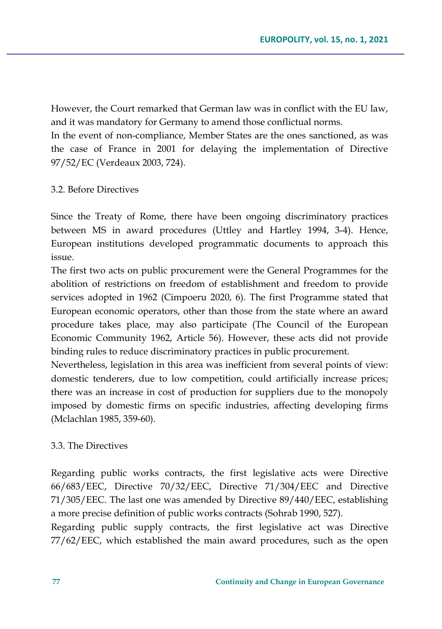However, the Court remarked that German law was in conflict with the EU law, and it was mandatory for Germany to amend those conflictual norms. In the event of non-compliance, Member States are the ones sanctioned, as was the case of France in 2001 for delaying the implementation of Directive 97/52/EC (Verdeaux 2003, 724).

#### 3.2. Before Directives

Since the Treaty of Rome, there have been ongoing discriminatory practices between MS in award procedures (Uttley and Hartley 1994, 3-4). Hence, European institutions developed programmatic documents to approach this issue.

The first two acts on public procurement were the General Programmes for the abolition of restrictions on freedom of establishment and freedom to provide services adopted in 1962 (Cimpoeru 2020, 6). The first Programme stated that European economic operators, other than those from the state where an award procedure takes place, may also participate (The Council of the European Economic Community 1962, Article 56). However, these acts did not provide binding rules to reduce discriminatory practices in public procurement.

Nevertheless, legislation in this area was inefficient from several points of view: domestic tenderers, due to low competition, could artificially increase prices; there was an increase in cost of production for suppliers due to the monopoly imposed by domestic firms on specific industries, affecting developing firms (Mclachlan 1985, 359-60).

#### 3.3. The Directives

Regarding public works contracts, the first legislative acts were Directive 66/683/EEC, Directive 70/32/EEC, Directive 71/304/EEC and Directive 71/305/EEC. The last one was amended by Directive 89/440/EEC, establishing a more precise definition of public works contracts (Sohrab 1990, 527).

Regarding public supply contracts, the first legislative act was Directive 77/62/EEC, which established the main award procedures, such as the open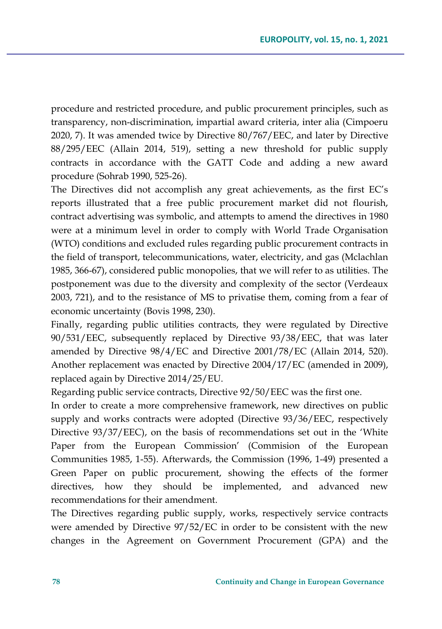procedure and restricted procedure, and public procurement principles, such as transparency, non-discrimination, impartial award criteria, inter alia (Cimpoeru 2020, 7). It was amended twice by Directive 80/767/EEC, and later by Directive 88/295/EEC (Allain 2014, 519), setting a new threshold for public supply contracts in accordance with the GATT Code and adding a new award procedure (Sohrab 1990, 525-26).

The Directives did not accomplish any great achievements, as the first EC's reports illustrated that a free public procurement market did not flourish, contract advertising was symbolic, and attempts to amend the directives in 1980 were at a minimum level in order to comply with World Trade Organisation (WTO) conditions and excluded rules regarding public procurement contracts in the field of transport, telecommunications, water, electricity, and gas (Mclachlan 1985, 366-67), considered public monopolies, that we will refer to as utilities. The postponement was due to the diversity and complexity of the sector (Verdeaux 2003, 721), and to the resistance of MS to privatise them, coming from a fear of economic uncertainty (Bovis 1998, 230).

Finally, regarding public utilities contracts, they were regulated by Directive 90/531/EEC, subsequently replaced by Directive 93/38/EEC, that was later amended by Directive 98/4/EC and Directive 2001/78/EC (Allain 2014, 520). Another replacement was enacted by Directive 2004/17/EC (amended in 2009), replaced again by Directive 2014/25/EU.

Regarding public service contracts, Directive 92/50/EEC was the first one.

In order to create a more comprehensive framework, new directives on public supply and works contracts were adopted (Directive 93/36/EEC, respectively Directive 93/37/EEC), on the basis of recommendations set out in the 'White Paper from the European Commission' (Commision of the European Communities 1985, 1-55). Afterwards, the Commission (1996, 1-49) presented a Green Paper on public procurement, showing the effects of the former directives, how they should be implemented, and advanced new recommendations for their amendment.

The Directives regarding public supply, works, respectively service contracts were amended by Directive 97/52/EC in order to be consistent with the new changes in the Agreement on Government Procurement (GPA) and the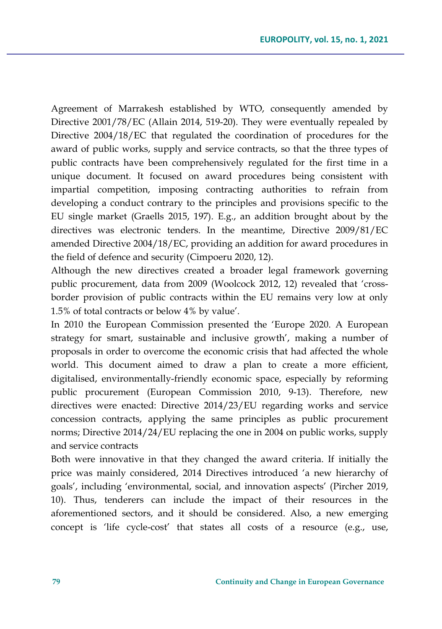Agreement of Marrakesh established by WTO, consequently amended by Directive 2001/78/EC (Allain 2014, 519-20). They were eventually repealed by Directive 2004/18/EC that regulated the coordination of procedures for the award of public works, supply and service contracts, so that the three types of public contracts have been comprehensively regulated for the first time in a unique document. It focused on award procedures being consistent with impartial competition, imposing contracting authorities to refrain from developing a conduct contrary to the principles and provisions specific to the EU single market (Graells 2015, 197). E.g., an addition brought about by the directives was electronic tenders. In the meantime, Directive 2009/81/EC amended Directive 2004/18/EC, providing an addition for award procedures in the field of defence and security (Cimpoeru 2020, 12).

Although the new directives created a broader legal framework governing public procurement, data from 2009 (Woolcock 2012, 12) revealed that 'crossborder provision of public contracts within the EU remains very low at only 1.5% of total contracts or below 4% by value'.

In 2010 the European Commission presented the 'Europe 2020. A European strategy for smart, sustainable and inclusive growth', making a number of proposals in order to overcome the economic crisis that had affected the whole world. This document aimed to draw a plan to create a more efficient, digitalised, environmentally-friendly economic space, especially by reforming public procurement (European Commission 2010, 9-13). Therefore, new directives were enacted: Directive 2014/23/EU regarding works and service concession contracts, applying the same principles as public procurement norms; Directive 2014/24/EU replacing the one in 2004 on public works, supply and service contracts

Both were innovative in that they changed the award criteria. If initially the price was mainly considered, 2014 Directives introduced 'a new hierarchy of goals', including 'environmental, social, and innovation aspects' (Pircher 2019, 10). Thus, tenderers can include the impact of their resources in the aforementioned sectors, and it should be considered. Also, a new emerging concept is 'life cycle-cost' that states all costs of a resource (e.g., use,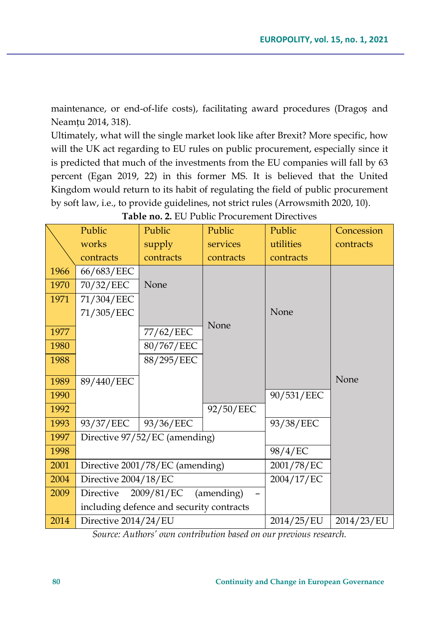maintenance, or end-of-life costs), facilitating award procedures (Dragoș and Neamțu 2014, 318).

Ultimately, what will the single market look like after Brexit? More specific, how will the UK act regarding to EU rules on public procurement, especially since it is predicted that much of the investments from the EU companies will fall by 63 percent (Egan 2019, 22) in this former MS. It is believed that the United Kingdom would return to its habit of regulating the field of public procurement by soft law, i.e., to provide guidelines, not strict rules (Arrowsmith 2020, 10).

|      | Public               | Public                                   | Public     | Public     | Concession |
|------|----------------------|------------------------------------------|------------|------------|------------|
|      | works                | supply                                   | services   | utilities  | contracts  |
|      | contracts            | contracts                                | contracts  | contracts  |            |
| 1966 | 66/683/EEC           |                                          |            |            |            |
| 1970 | 70/32/EEC            | None                                     |            |            |            |
| 1971 | 71/304/EEC           |                                          |            |            |            |
|      | 71/305/EEC           |                                          |            | None       |            |
| 1977 |                      | 77/62/EEC                                | None       |            |            |
| 1980 |                      | 80/767/EEC                               |            |            |            |
| 1988 |                      | 88/295/EEC                               |            |            |            |
|      |                      |                                          |            |            | None       |
| 1989 | 89/440/EEC           |                                          |            |            |            |
| 1990 |                      |                                          |            | 90/531/EEC |            |
| 1992 |                      |                                          | 92/50/EEC  |            |            |
| 1993 | 93/37/EEC            | 93/36/EEC                                |            | 93/38/EEC  |            |
| 1997 |                      | Directive 97/52/EC (amending)            |            |            |            |
| 1998 |                      |                                          | 98/4/EC    |            |            |
| 2001 |                      | Directive 2001/78/EC (amending)          | 2001/78/EC |            |            |
| 2004 | Directive 2004/18/EC |                                          | 2004/17/EC |            |            |
| 2009 | Directive            | $2009/81/EC$ (amending)                  |            |            |            |
|      |                      | including defence and security contracts |            |            |            |
| 2014 | Directive 2014/24/EU |                                          | 2014/25/EU | 2014/23/EU |            |

**Table no. 2.** EU Public Procurement Directives

*Source: Authors' own contribution based on our previous research.*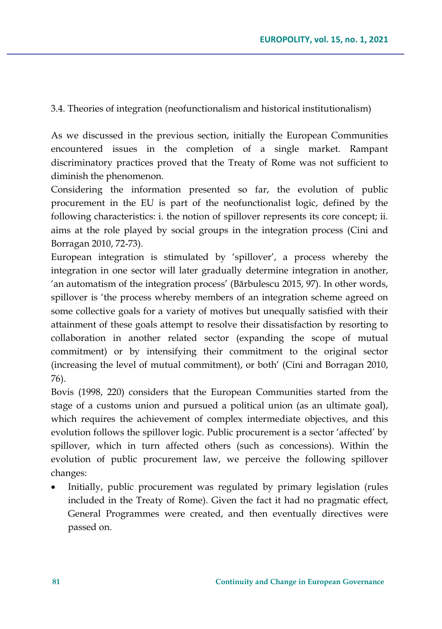3.4. Theories of integration (neofunctionalism and historical institutionalism)

As we discussed in the previous section, initially the European Communities encountered issues in the completion of a single market. Rampant discriminatory practices proved that the Treaty of Rome was not sufficient to diminish the phenomenon.

Considering the information presented so far, the evolution of public procurement in the EU is part of the neofunctionalist logic, defined by the following characteristics: i. the notion of spillover represents its core concept; ii. aims at the role played by social groups in the integration process (Cini and Borragan 2010, 72-73).

European integration is stimulated by 'spillover', a process whereby the integration in one sector will later gradually determine integration in another, 'an automatism of the integration process' (Bărbulescu 2015, 97). In other words, spillover is 'the process whereby members of an integration scheme agreed on some collective goals for a variety of motives but unequally satisfied with their attainment of these goals attempt to resolve their dissatisfaction by resorting to collaboration in another related sector (expanding the scope of mutual commitment) or by intensifying their commitment to the original sector (increasing the level of mutual commitment), or both' (Cini and Borragan 2010, 76).

Bovis (1998, 220) considers that the European Communities started from the stage of a customs union and pursued a political union (as an ultimate goal), which requires the achievement of complex intermediate objectives, and this evolution follows the spillover logic. Public procurement is a sector 'affected' by spillover, which in turn affected others (such as concessions). Within the evolution of public procurement law, we perceive the following spillover changes:

• Initially, public procurement was regulated by primary legislation (rules included in the Treaty of Rome). Given the fact it had no pragmatic effect, General Programmes were created, and then eventually directives were passed on.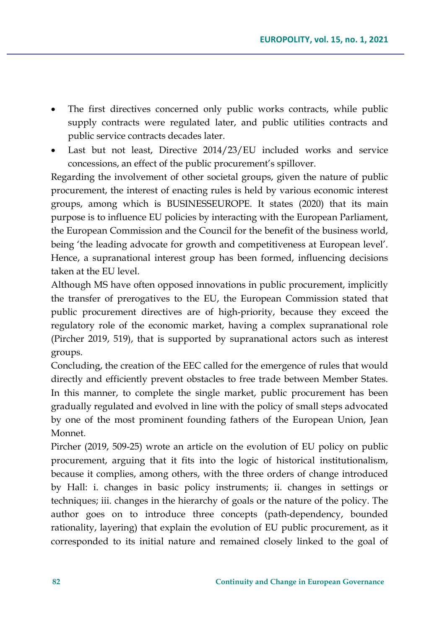- The first directives concerned only public works contracts, while public supply contracts were regulated later, and public utilities contracts and public service contracts decades later.
- Last but not least, Directive 2014/23/EU included works and service concessions, an effect of the public procurement's spillover.

Regarding the involvement of other societal groups, given the nature of public procurement, the interest of enacting rules is held by various economic interest groups, among which is BUSINESSEUROPE. It states (2020) that its main purpose is to influence EU policies by interacting with the European Parliament, the European Commission and the Council for the benefit of the business world, being 'the leading advocate for growth and competitiveness at European level'. Hence, a supranational interest group has been formed, influencing decisions taken at the EU level.

Although MS have often opposed innovations in public procurement, implicitly the transfer of prerogatives to the EU, the European Commission stated that public procurement directives are of high-priority, because they exceed the regulatory role of the economic market, having a complex supranational role (Pircher 2019, 519), that is supported by supranational actors such as interest groups.

Concluding, the creation of the EEC called for the emergence of rules that would directly and efficiently prevent obstacles to free trade between Member States. In this manner, to complete the single market, public procurement has been gradually regulated and evolved in line with the policy of small steps advocated by one of the most prominent founding fathers of the European Union, Jean Monnet.

Pircher (2019, 509-25) wrote an article on the evolution of EU policy on public procurement, arguing that it fits into the logic of historical institutionalism, because it complies, among others, with the three orders of change introduced by Hall: i. changes in basic policy instruments; ii. changes in settings or techniques; iii. changes in the hierarchy of goals or the nature of the policy. The author goes on to introduce three concepts (path-dependency, bounded rationality, layering) that explain the evolution of EU public procurement, as it corresponded to its initial nature and remained closely linked to the goal of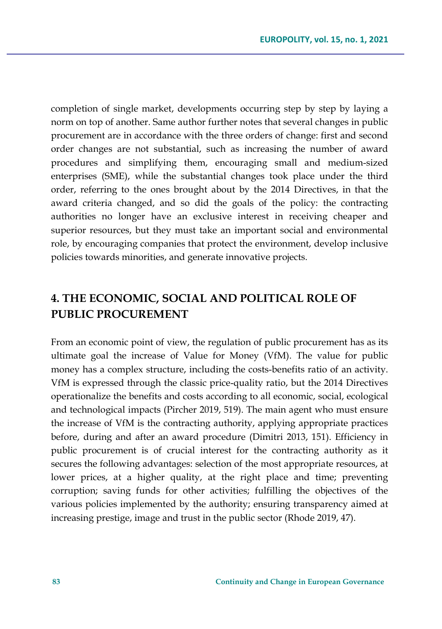completion of single market, developments occurring step by step by laying a norm on top of another. Same author further notes that several changes in public procurement are in accordance with the three orders of change: first and second order changes are not substantial, such as increasing the number of award procedures and simplifying them, encouraging small and medium-sized enterprises (SME), while the substantial changes took place under the third order, referring to the ones brought about by the 2014 Directives, in that the award criteria changed, and so did the goals of the policy: the contracting authorities no longer have an exclusive interest in receiving cheaper and superior resources, but they must take an important social and environmental role, by encouraging companies that protect the environment, develop inclusive policies towards minorities, and generate innovative projects.

## **4. THE ECONOMIC, SOCIAL AND POLITICAL ROLE OF PUBLIC PROCUREMENT**

From an economic point of view, the regulation of public procurement has as its ultimate goal the increase of Value for Money (VfM). The value for public money has a complex structure, including the costs-benefits ratio of an activity. VfM is expressed through the classic price-quality ratio, but the 2014 Directives operationalize the benefits and costs according to all economic, social, ecological and technological impacts (Pircher 2019, 519). The main agent who must ensure the increase of VfM is the contracting authority, applying appropriate practices before, during and after an award procedure (Dimitri 2013, 151). Efficiency in public procurement is of crucial interest for the contracting authority as it secures the following advantages: selection of the most appropriate resources, at lower prices, at a higher quality, at the right place and time; preventing corruption; saving funds for other activities; fulfilling the objectives of the various policies implemented by the authority; ensuring transparency aimed at increasing prestige, image and trust in the public sector (Rhode 2019, 47).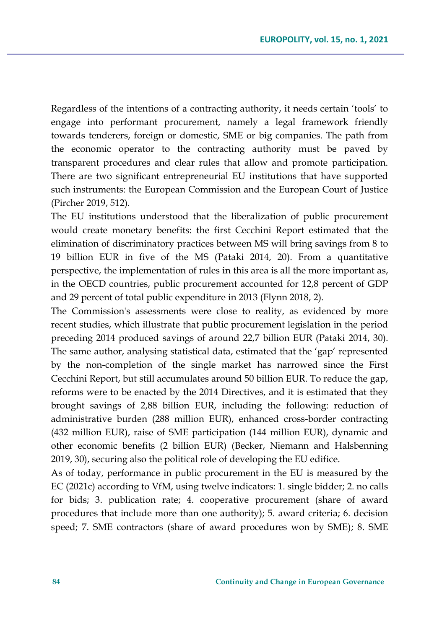Regardless of the intentions of a contracting authority, it needs certain 'tools' to engage into performant procurement, namely a legal framework friendly towards tenderers, foreign or domestic, SME or big companies. The path from the economic operator to the contracting authority must be paved by transparent procedures and clear rules that allow and promote participation. There are two significant entrepreneurial EU institutions that have supported such instruments: the European Commission and the European Court of Justice (Pircher 2019, 512).

The EU institutions understood that the liberalization of public procurement would create monetary benefits: the first Cecchini Report estimated that the elimination of discriminatory practices between MS will bring savings from 8 to 19 billion EUR in five of the MS (Pataki 2014, 20). From a quantitative perspective, the implementation of rules in this area is all the more important as, in the OECD countries, public procurement accounted for 12,8 percent of GDP and 29 percent of total public expenditure in 2013 (Flynn 2018, 2).

The Commission's assessments were close to reality, as evidenced by more recent studies, which illustrate that public procurement legislation in the period preceding 2014 produced savings of around 22,7 billion EUR (Pataki 2014, 30). The same author, analysing statistical data, estimated that the 'gap' represented by the non-completion of the single market has narrowed since the First Cecchini Report, but still accumulates around 50 billion EUR. To reduce the gap, reforms were to be enacted by the 2014 Directives, and it is estimated that they brought savings of 2,88 billion EUR, including the following: reduction of administrative burden (288 million EUR), enhanced cross-border contracting (432 million EUR), raise of SME participation (144 million EUR), dynamic and other economic benefits (2 billion EUR) (Becker, Niemann and Halsbenning 2019, 30), securing also the political role of developing the EU edifice.

As of today, performance in public procurement in the EU is measured by the EC (2021c) according to VfM, using twelve indicators: 1. single bidder; 2. no calls for bids; 3. publication rate; 4. cooperative procurement (share of award procedures that include more than one authority); 5. award criteria; 6. decision speed; 7. SME contractors (share of award procedures won by SME); 8. SME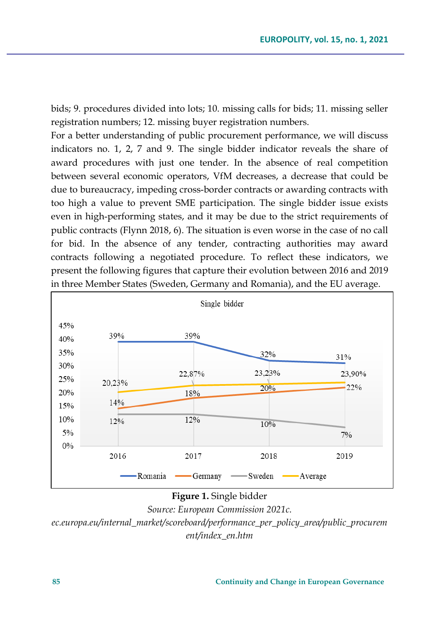bids; 9. procedures divided into lots; 10. missing calls for bids; 11. missing seller registration numbers; 12. missing buyer registration numbers.

For a better understanding of public procurement performance, we will discuss indicators no. 1, 2, 7 and 9. The single bidder indicator reveals the share of award procedures with just one tender. In the absence of real competition between several economic operators, VfM decreases, a decrease that could be due to bureaucracy, impeding cross-border contracts or awarding contracts with too high a value to prevent SME participation. The single bidder issue exists even in high-performing states, and it may be due to the strict requirements of public contracts (Flynn 2018, 6). The situation is even worse in the case of no call for bid. In the absence of any tender, contracting authorities may award contracts following a negotiated procedure. To reflect these indicators, we present the following figures that capture their evolution between 2016 and 2019 in three Member States (Sweden, Germany and Romania), and the EU average.



**Figure 1.** Single bidder

*Source: European Commission 2021c. ec.europa.eu/internal\_market/scoreboard/performance\_per\_policy\_area/public\_procurem ent/index\_en.htm*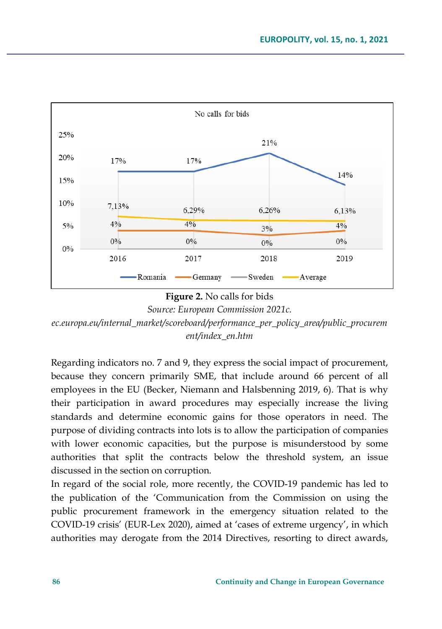

### **Figure 2.** No calls for bids

*Source: European Commission 2021c.* 

*ec.europa.eu/internal\_market/scoreboard/performance\_per\_policy\_area/public\_procurem ent/index\_en.htm*

Regarding indicators no. 7 and 9, they express the social impact of procurement, because they concern primarily SME, that include around 66 percent of all employees in the EU (Becker, Niemann and Halsbenning 2019, 6). That is why their participation in award procedures may especially increase the living standards and determine economic gains for those operators in need. The purpose of dividing contracts into lots is to allow the participation of companies with lower economic capacities, but the purpose is misunderstood by some authorities that split the contracts below the threshold system, an issue discussed in the section on corruption.

In regard of the social role, more recently, the COVID-19 pandemic has led to the publication of the 'Communication from the Commission on using the public procurement framework in the emergency situation related to the COVID-19 crisis' (EUR-Lex 2020), aimed at 'cases of extreme urgency', in which authorities may derogate from the 2014 Directives, resorting to direct awards,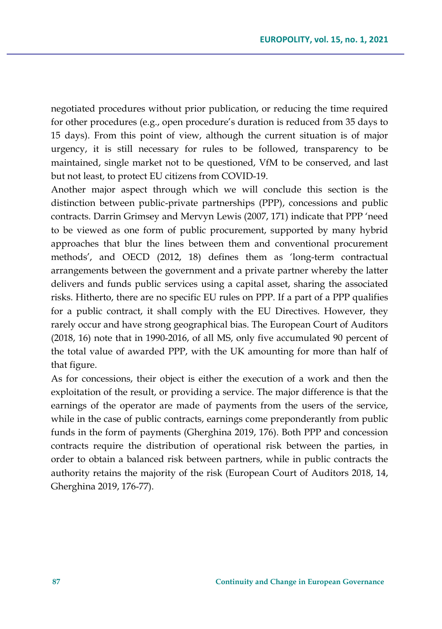negotiated procedures without prior publication, or reducing the time required for other procedures (e.g., open procedure's duration is reduced from 35 days to 15 days). From this point of view, although the current situation is of major urgency, it is still necessary for rules to be followed, transparency to be maintained, single market not to be questioned, VfM to be conserved, and last but not least, to protect EU citizens from COVID-19.

Another major aspect through which we will conclude this section is the distinction between public-private partnerships (PPP), concessions and public contracts. Darrin Grimsey and Mervyn Lewis (2007, 171) indicate that PPP 'need to be viewed as one form of public procurement, supported by many hybrid approaches that blur the lines between them and conventional procurement methods', and OECD (2012, 18) defines them as 'long-term contractual arrangements between the government and a private partner whereby the latter delivers and funds public services using a capital asset, sharing the associated risks. Hitherto, there are no specific EU rules on PPP. If a part of a PPP qualifies for a public contract, it shall comply with the EU Directives. However, they rarely occur and have strong geographical bias. The European Court of Auditors (2018, 16) note that in 1990-2016, of all MS, only five accumulated 90 percent of the total value of awarded PPP, with the UK amounting for more than half of that figure.

As for concessions, their object is either the execution of a work and then the exploitation of the result, or providing a service. The major difference is that the earnings of the operator are made of payments from the users of the service, while in the case of public contracts, earnings come preponderantly from public funds in the form of payments (Gherghina 2019, 176). Both PPP and concession contracts require the distribution of operational risk between the parties, in order to obtain a balanced risk between partners, while in public contracts the authority retains the majority of the risk (European Court of Auditors 2018, 14, Gherghina 2019, 176-77).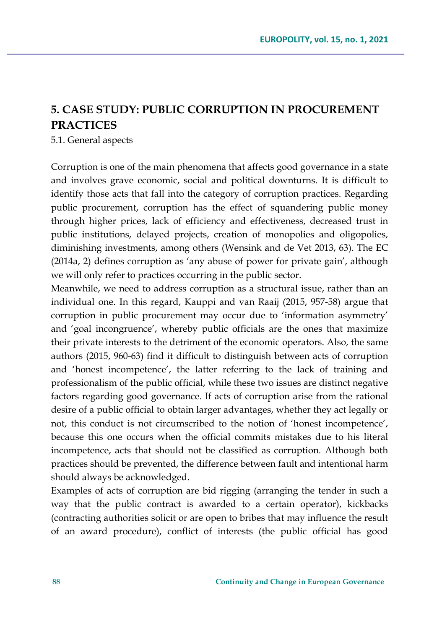## **5. CASE STUDY: PUBLIC CORRUPTION IN PROCUREMENT PRACTICES**

#### 5.1. General aspects

Corruption is one of the main phenomena that affects good governance in a state and involves grave economic, social and political downturns. It is difficult to identify those acts that fall into the category of corruption practices. Regarding public procurement, corruption has the effect of squandering public money through higher prices, lack of efficiency and effectiveness, decreased trust in public institutions, delayed projects, creation of monopolies and oligopolies, diminishing investments, among others (Wensink and de Vet 2013, 63). The EC (2014a, 2) defines corruption as 'any abuse of power for private gain', although we will only refer to practices occurring in the public sector.

Meanwhile, we need to address corruption as a structural issue, rather than an individual one. In this regard, Kauppi and van Raaij (2015, 957-58) argue that corruption in public procurement may occur due to 'information asymmetry' and 'goal incongruence', whereby public officials are the ones that maximize their private interests to the detriment of the economic operators. Also, the same authors (2015, 960-63) find it difficult to distinguish between acts of corruption and 'honest incompetence', the latter referring to the lack of training and professionalism of the public official, while these two issues are distinct negative factors regarding good governance. If acts of corruption arise from the rational desire of a public official to obtain larger advantages, whether they act legally or not, this conduct is not circumscribed to the notion of 'honest incompetence', because this one occurs when the official commits mistakes due to his literal incompetence, acts that should not be classified as corruption. Although both practices should be prevented, the difference between fault and intentional harm should always be acknowledged.

Examples of acts of corruption are bid rigging (arranging the tender in such a way that the public contract is awarded to a certain operator), kickbacks (contracting authorities solicit or are open to bribes that may influence the result of an award procedure), conflict of interests (the public official has good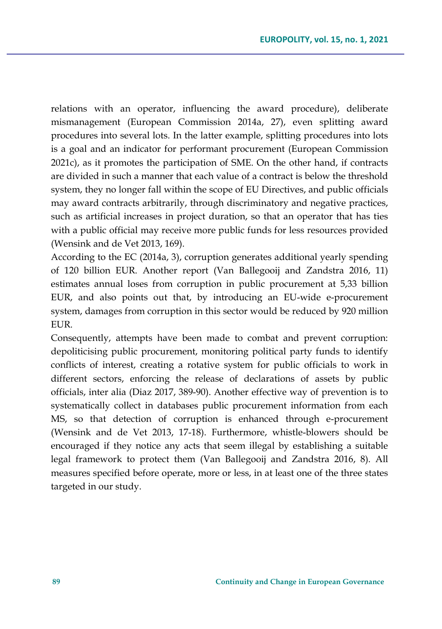relations with an operator, influencing the award procedure), deliberate mismanagement (European Commission 2014a, 27), even splitting award procedures into several lots. In the latter example, splitting procedures into lots is a goal and an indicator for performant procurement (European Commission 2021c), as it promotes the participation of SME. On the other hand, if contracts are divided in such a manner that each value of a contract is below the threshold system, they no longer fall within the scope of EU Directives, and public officials may award contracts arbitrarily, through discriminatory and negative practices, such as artificial increases in project duration, so that an operator that has ties with a public official may receive more public funds for less resources provided (Wensink and de Vet 2013, 169).

According to the EC (2014a, 3), corruption generates additional yearly spending of 120 billion EUR. Another report (Van Ballegooij and Zandstra 2016, 11) estimates annual loses from corruption in public procurement at 5,33 billion EUR, and also points out that, by introducing an EU-wide e-procurement system, damages from corruption in this sector would be reduced by 920 million EUR.

Consequently, attempts have been made to combat and prevent corruption: depoliticising public procurement, monitoring political party funds to identify conflicts of interest, creating a rotative system for public officials to work in different sectors, enforcing the release of declarations of assets by public officials, inter alia (Diaz 2017, 389-90). Another effective way of prevention is to systematically collect in databases public procurement information from each MS, so that detection of corruption is enhanced through e-procurement (Wensink and de Vet 2013, 17-18). Furthermore, whistle-blowers should be encouraged if they notice any acts that seem illegal by establishing a suitable legal framework to protect them (Van Ballegooij and Zandstra 2016, 8). All measures specified before operate, more or less, in at least one of the three states targeted in our study.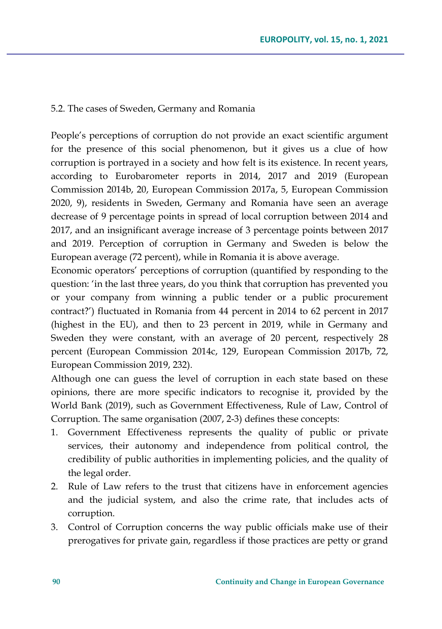#### 5.2. The cases of Sweden, Germany and Romania

People's perceptions of corruption do not provide an exact scientific argument for the presence of this social phenomenon, but it gives us a clue of how corruption is portrayed in a society and how felt is its existence. In recent years, according to Eurobarometer reports in 2014, 2017 and 2019 (European Commission 2014b, 20, European Commission 2017a, 5, European Commission 2020, 9), residents in Sweden, Germany and Romania have seen an average decrease of 9 percentage points in spread of local corruption between 2014 and 2017, and an insignificant average increase of 3 percentage points between 2017 and 2019. Perception of corruption in Germany and Sweden is below the European average (72 percent), while in Romania it is above average.

Economic operators' perceptions of corruption (quantified by responding to the question: 'in the last three years, do you think that corruption has prevented you or your company from winning a public tender or a public procurement contract?') fluctuated in Romania from 44 percent in 2014 to 62 percent in 2017 (highest in the EU), and then to 23 percent in 2019, while in Germany and Sweden they were constant, with an average of 20 percent, respectively 28 percent (European Commission 2014c, 129, European Commission 2017b, 72, European Commission 2019, 232).

Although one can guess the level of corruption in each state based on these opinions, there are more specific indicators to recognise it, provided by the World Bank (2019), such as Government Effectiveness, Rule of Law, Control of Corruption. The same organisation (2007, 2-3) defines these concepts:

- 1. Government Effectiveness represents the quality of public or private services, their autonomy and independence from political control, the credibility of public authorities in implementing policies, and the quality of the legal order.
- 2. Rule of Law refers to the trust that citizens have in enforcement agencies and the judicial system, and also the crime rate, that includes acts of corruption.
- 3. Control of Corruption concerns the way public officials make use of their prerogatives for private gain, regardless if those practices are petty or grand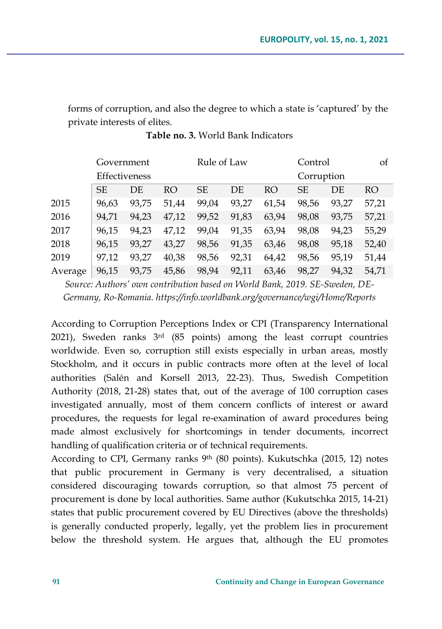forms of corruption, and also the degree to which a state is 'captured' by the private interests of elites.

|         | Government<br>Effectiveness |       |       | Rule of Law |       |       | Control<br>Corruption |       | οf    |
|---------|-----------------------------|-------|-------|-------------|-------|-------|-----------------------|-------|-------|
|         |                             |       |       |             |       |       |                       |       |       |
|         | <b>SE</b>                   | DE    | RO    | <b>SE</b>   | DE    | RO    | SE.                   | DE.   | RO    |
| 2015    | 96,63                       | 93.75 | 51,44 | 99,04       | 93,27 | 61,54 | 98,56                 | 93.27 | 57,21 |
| 2016    | 94.71                       | 94.23 | 47,12 | 99,52       | 91,83 | 63,94 | 98,08                 | 93.75 | 57,21 |
| 2017    | 96.15                       | 94,23 | 47,12 | 99,04       | 91,35 | 63,94 | 98,08                 | 94,23 | 55,29 |
| 2018    | 96.15                       | 93.27 | 43,27 | 98,56       | 91,35 | 63,46 | 98,08                 | 95,18 | 52,40 |
| 2019    | 97,12                       | 93.27 | 40,38 | 98.56       | 92,31 | 64,42 | 98.56                 | 95.19 | 51,44 |
| Average | 96,15                       | 93,75 | 45,86 | 98,94       | 92.11 | 63,46 | 98.27                 | 94.32 | 54.71 |

**Table no. 3.** World Bank Indicators

*Source: Authors' own contribution based on World Bank, 2019. SE-Sweden, DE-Germany, Ro-Romania. https://info.worldbank.org/governance/wgi/Home/Reports*

According to Corruption Perceptions Index or CPI (Transparency International 2021), Sweden ranks  $3<sup>rd</sup>$  (85 points) among the least corrupt countries worldwide. Even so, corruption still exists especially in urban areas, mostly Stockholm, and it occurs in public contracts more often at the level of local authorities (Salén and Korsell 2013, 22-23). Thus, Swedish Competition Authority (2018, 21-28) states that, out of the average of 100 corruption cases investigated annually, most of them concern conflicts of interest or award procedures, the requests for legal re-examination of award procedures being made almost exclusively for shortcomings in tender documents, incorrect handling of qualification criteria or of technical requirements.

According to CPI, Germany ranks 9th (80 points). Kukutschka (2015, 12) notes that public procurement in Germany is very decentralised, a situation considered discouraging towards corruption, so that almost 75 percent of procurement is done by local authorities. Same author (Kukutschka 2015, 14-21) states that public procurement covered by EU Directives (above the thresholds) is generally conducted properly, legally, yet the problem lies in procurement below the threshold system. He argues that, although the EU promotes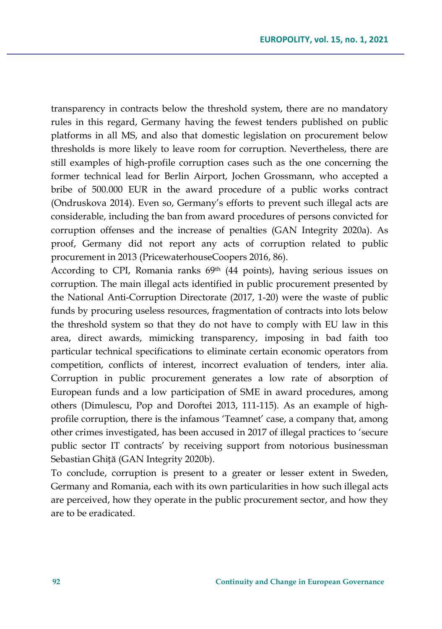transparency in contracts below the threshold system, there are no mandatory rules in this regard, Germany having the fewest tenders published on public platforms in all MS, and also that domestic legislation on procurement below thresholds is more likely to leave room for corruption. Nevertheless, there are still examples of high-profile corruption cases such as the one concerning the former technical lead for Berlin Airport, Jochen Grossmann, who accepted a bribe of 500.000 EUR in the award procedure of a public works contract (Ondruskova 2014). Even so, Germany's efforts to prevent such illegal acts are considerable, including the ban from award procedures of persons convicted for corruption offenses and the increase of penalties (GAN Integrity 2020a). As proof, Germany did not report any acts of corruption related to public procurement in 2013 (PricewaterhouseCoopers 2016, 86).

According to CPI, Romania ranks  $69<sup>th</sup>$  (44 points), having serious issues on corruption. The main illegal acts identified in public procurement presented by the National Anti-Corruption Directorate (2017, 1-20) were the waste of public funds by procuring useless resources, fragmentation of contracts into lots below the threshold system so that they do not have to comply with EU law in this area, direct awards, mimicking transparency, imposing in bad faith too particular technical specifications to eliminate certain economic operators from competition, conflicts of interest, incorrect evaluation of tenders, inter alia. Corruption in public procurement generates a low rate of absorption of European funds and a low participation of SME in award procedures, among others (Dimulescu, Pop and Doroftei 2013, 111-115). As an example of highprofile corruption, there is the infamous 'Teamnet' case, a company that, among other crimes investigated, has been accused in 2017 of illegal practices to 'secure public sector IT contracts' by receiving support from notorious businessman Sebastian Ghiță (GAN Integrity 2020b).

To conclude, corruption is present to a greater or lesser extent in Sweden, Germany and Romania, each with its own particularities in how such illegal acts are perceived, how they operate in the public procurement sector, and how they are to be eradicated.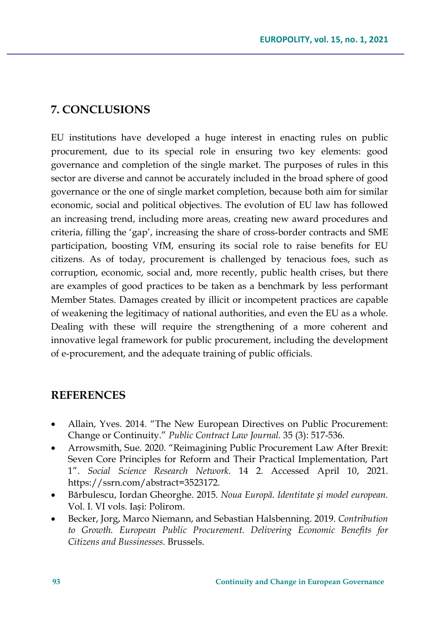## **7. CONCLUSIONS**

EU institutions have developed a huge interest in enacting rules on public procurement, due to its special role in ensuring two key elements: good governance and completion of the single market. The purposes of rules in this sector are diverse and cannot be accurately included in the broad sphere of good governance or the one of single market completion, because both aim for similar economic, social and political objectives. The evolution of EU law has followed an increasing trend, including more areas, creating new award procedures and criteria, filling the 'gap', increasing the share of cross-border contracts and SME participation, boosting VfM, ensuring its social role to raise benefits for EU citizens. As of today, procurement is challenged by tenacious foes, such as corruption, economic, social and, more recently, public health crises, but there are examples of good practices to be taken as a benchmark by less performant Member States. Damages created by illicit or incompetent practices are capable of weakening the legitimacy of national authorities, and even the EU as a whole. Dealing with these will require the strengthening of a more coherent and innovative legal framework for public procurement, including the development of e-procurement, and the adequate training of public officials.

## **REFERENCES**

- Allain, Yves. 2014. "The New European Directives on Public Procurement: Change or Continuity." *Public Contract Law Journal.* 35 (3): 517-536.
- Arrowsmith, Sue. 2020. "Reimagining Public Procurement Law After Brexit: Seven Core Principles for Reform and Their Practical Implementation, Part 1". *Social Science Research Network.* 14 2. Accessed April 10, 2021. https://ssrn.com/abstract=3523172.
- Bărbulescu, Iordan Gheorghe. 2015. *Noua Europă. Identitate și model european.* Vol. I. VI vols. Iași: Polirom.
- Becker, Jorg, Marco Niemann, and Sebastian Halsbenning. 2019. *Contribution to Growth. European Public Procurement. Delivering Economic Benefits for Citizens and Bussinesses*. Brussels.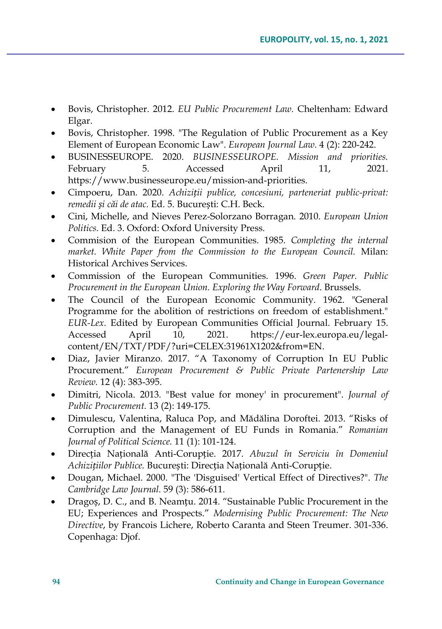- Bovis, Christopher. 2012. *EU Public Procurement Law.* Cheltenham: Edward Elgar.
- Bovis, Christopher. 1998. "The Regulation of Public Procurement as a Key Element of European Economic Law". *European Journal Law.* 4 (2): 220-242.
- BUSINESSEUROPE. 2020. *BUSINESSEUROPE. Mission and priorities.* February 5. Accessed April 11, 2021. https://www.businesseurope.eu/mission-and-priorities.
- Cimpoeru, Dan. 2020. *Achiziții publice, concesiuni, parteneriat public-privat: remedii și căi de atac.* Ed. 5. București: C.H. Beck.
- Cini, Michelle, and Nieves Perez-Solorzano Borragan. 2010. *European Union Politics.* Ed. 3. Oxford: Oxford University Press.
- Commision of the European Communities. 1985. *Completing the internal market. White Paper from the Commission to the European Council.* Milan: Historical Archives Services.
- Commission of the European Communities. 1996. *Green Paper. Public Procurement in the European Union. Exploring the Way Forward*. Brussels.
- The Council of the European Economic Community. 1962. "General Programme for the abolition of restrictions on freedom of establishment." *EUR-Lex.* Edited by European Communities Official Journal. February 15. Accessed April 10, 2021. https://eur-lex.europa.eu/legalcontent/EN/TXT/PDF/?uri=CELEX:31961X1202&from=EN.
- Diaz, Javier Miranzo. 2017. "A Taxonomy of Corruption In EU Public Procurement." *European Procurement & Public Private Partenership Law Review.* 12 (4): 383-395.
- Dimitri, Nicola. 2013. "Best value for money' in procurement". *Journal of Public Procurement.* 13 (2): 149-175.
- Dimulescu, Valentina, Raluca Pop, and Mădălina Doroftei. 2013. "Risks of Corruption and the Management of EU Funds in Romania." *Romanian Journal of Political Science.* 11 (1): 101-124.
- Direcția Națională Anti-Corupție. 2017. *Abuzul în Serviciu în Domeniul Achizițiilor Publice.* București: Direcția Națională Anti-Corupție.
- Dougan, Michael. 2000. "The 'Disguised' Vertical Effect of Directives?". *The Cambridge Law Journal.* 59 (3): 586-611.
- Dragoș, D. C., and B. Neamțu. 2014. "Sustainable Public Procurement in the EU; Experiences and Prospects." *Modernising Public Procurement: The New Directive*, by Francois Lichere, Roberto Caranta and Steen Treumer. 301-336. Copenhaga: Djof.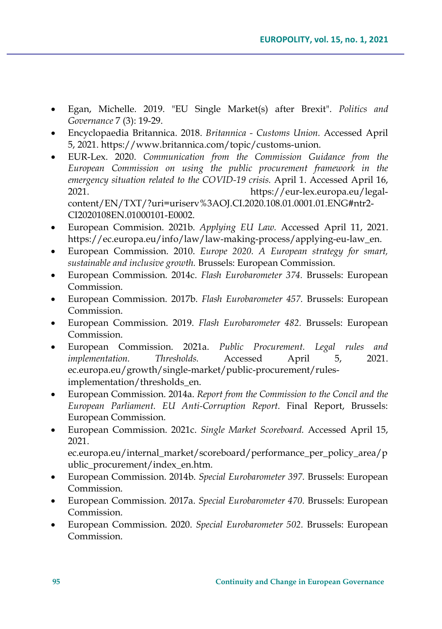- Egan, Michelle. 2019. "EU Single Market(s) after Brexit". *Politics and Governance* 7 (3): 19-29.
- Encyclopaedia Britannica. 2018. *Britannica - Customs Union.* Accessed April 5, 2021. https://www.britannica.com/topic/customs-union.
- EUR-Lex. 2020. *Communication from the Commission Guidance from the European Commission on using the public procurement framework in the emergency situation related to the COVID-19 crisis.* April 1. Accessed April 16, 2021. https://eur-lex.europa.eu/legalcontent/EN/TXT/?uri=uriserv%3AOJ.CI.2020.108.01.0001.01.ENG#ntr2- CI2020108EN.01000101-E0002.
- European Commision. 2021b. *Applying EU Law.* Accessed April 11, 2021. https://ec.europa.eu/info/law/law-making-process/applying-eu-law\_en.
- European Commission. 2010. *Europe 2020. A European strategy for smart, sustainable and inclusive growth.* Brussels: European Commission.
- European Commission. 2014c. *Flash Eurobarometer 374.* Brussels: European Commission.
- European Commission. 2017b. *Flash Eurobarometer 457.* Brussels: European Commission.
- European Commission. 2019. *Flash Eurobarometer 482.* Brussels: European Commission.
- European Commission. 2021a. *Public Procurement. Legal rules and implementation. Thresholds.* Accessed April 5, 2021. ec.europa.eu/growth/single-market/public-procurement/rulesimplementation/thresholds\_en.
- European Commission. 2014a. *Report from the Commission to the Concil and the European Parliament. EU Anti-Corruption Report.* Final Report, Brussels: European Commission.
- European Commission. 2021c. *Single Market Scoreboard.* Accessed April 15, 2021.

ec.europa.eu/internal\_market/scoreboard/performance\_per\_policy\_area/p ublic\_procurement/index\_en.htm.

- European Commission. 2014b. *Special Eurobarometer 397.* Brussels: European Commission.
- European Commission. 2017a. *Special Eurobarometer 470.* Brussels: European Commission.
- European Commission. 2020. *Special Eurobarometer 502.* Brussels: European Commission.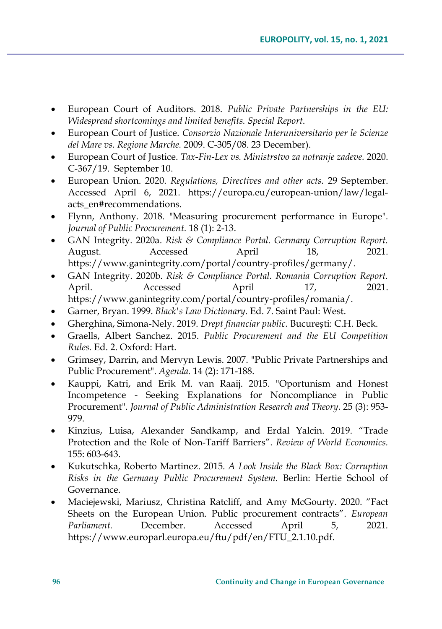- European Court of Auditors. 2018. *Public Private Partnerships in the EU: Widespread shortcomings and limited benefits. Special Report*.
- European Court of Justice. *Consorzio Nazionale Interuniversitario per le Scienze del Mare vs. Regione Marche.* 2009. C-305/08. 23 December).
- European Court of Justice. *Tax-Fin-Lex vs. Ministrstvo za notranje zadeve.* 2020. C-367/19. September 10.
- European Union. 2020. *Regulations, Directives and other acts.* 29 September. Accessed April 6, 2021. https://europa.eu/european-union/law/legalacts\_en#recommendations.
- Flynn, Anthony. 2018. "Measuring procurement performance in Europe". *Journal of Public Procurement.* 18 (1): 2-13.
- GAN Integrity. 2020a. *Risk & Compliance Portal. Germany Corruption Report.* August. Accessed April 18, 2021. https://www.ganintegrity.com/portal/country-profiles/germany/.
- GAN Integrity. 2020b. *Risk & Compliance Portal. Romania Corruption Report.* April. Accessed April 17, 2021. https://www.ganintegrity.com/portal/country-profiles/romania/.
- Garner, Bryan. 1999. *Black's Law Dictionary.* Ed. 7. Saint Paul: West.
- Gherghina, Simona-Nely. 2019. *Drept financiar public.* București: C.H. Beck.
- Graells, Albert Sanchez. 2015. *Public Procurement and the EU Competition Rules.* Ed. 2. Oxford: Hart.
- Grimsey, Darrin, and Mervyn Lewis. 2007. "Public Private Partnerships and Public Procurement". *Agenda.* 14 (2): 171-188.
- Kauppi, Katri, and Erik M. van Raaij. 2015. "Oportunism and Honest Incompetence - Seeking Explanations for Noncompliance in Public Procurement". *Journal of Public Administration Research and Theory.* 25 (3): 953- 979.
- Kinzius, Luisa, Alexander Sandkamp, and Erdal Yalcin. 2019. "Trade Protection and the Role of Non-Tariff Barriers". *Review of World Economics.* 155: 603-643.
- Kukutschka, Roberto Martinez. 2015. *A Look Inside the Black Box: Corruption Risks in the Germany Public Procurement System.* Berlin: Hertie School of Governance.
- Maciejewski, Mariusz, Christina Ratcliff, and Amy McGourty. 2020. "Fact Sheets on the European Union. Public procurement contracts". *European Parliament.* December. Accessed April 5, 2021. https://www.europarl.europa.eu/ftu/pdf/en/FTU\_2.1.10.pdf.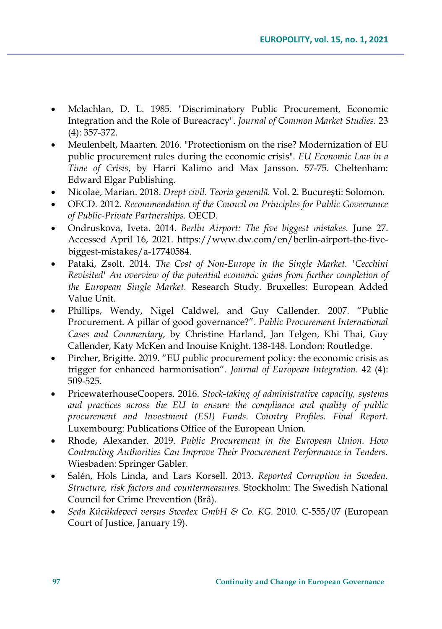- Mclachlan, D. L. 1985. "Discriminatory Public Procurement, Economic Integration and the Role of Bureacracy". *Journal of Common Market Studies.* 23 (4): 357-372.
- Meulenbelt, Maarten. 2016. "Protectionism on the rise? Modernization of EU public procurement rules during the economic crisis". *EU Economic Law in a Time of Crisis*, by Harri Kalimo and Max Jansson. 57-75. Cheltenham: Edward Elgar Publishing.
- Nicolae, Marian. 2018. *Drept civil. Teoria generală.* Vol. 2. București: Solomon.
- OECD. 2012. *Recommendation of the Council on Principles for Public Governance of Public-Private Partnerships.* OECD.
- Ondruskova, Iveta. 2014. *Berlin Airport: The five biggest mistakes.* June 27. Accessed April 16, 2021. https://www.dw.com/en/berlin-airport-the-fivebiggest-mistakes/a-17740584.
- Pataki, Zsolt. 2014. *The Cost of Non-Europe in the Single Market. 'Cecchini Revisited' An overview of the potential economic gains from further completion of the European Single Market.* Research Study. Bruxelles: European Added Value Unit.
- Phillips, Wendy, Nigel Caldwel, and Guy Callender. 2007. "Public Procurement. A pillar of good governance?". *Public Procurement International Cases and Commentary*, by Christine Harland, Jan Telgen, Khi Thai, Guy Callender, Katy McKen and Inouise Knight. 138-148. London: Routledge.
- Pircher, Brigitte. 2019. "EU public procurement policy: the economic crisis as trigger for enhanced harmonisation". *Journal of European Integration.* 42 (4): 509-525.
- PricewaterhouseCoopers. 2016. *Stock-taking of administrative capacity, systems and practices across the EU to ensure the compliance and quality of public procurement and Investment (ESI) Funds. Country Profiles. Final Report*. Luxembourg: Publications Office of the European Union.
- Rhode, Alexander. 2019. *Public Procurement in the European Union. How Contracting Authorities Can Improve Their Procurement Performance in Tenders.* Wiesbaden: Springer Gabler.
- Salén, Hols Linda, and Lars Korsell. 2013. *Reported Corruption in Sweden. Structure, risk factors and countermeasures.* Stockholm: The Swedish National Council for Crime Prevention (Brå).
- *Seda Kücükdeveci versus Swedex GmbH & Co. KG.* 2010. C-555/07 (European Court of Justice, January 19).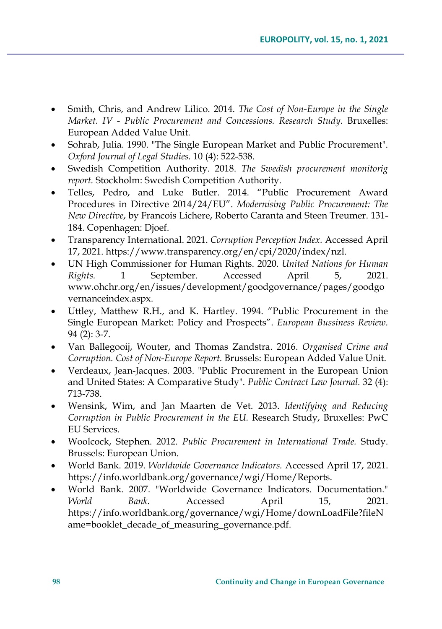- Smith, Chris, and Andrew Lilico. 2014. *The Cost of Non-Europe in the Single Market. IV - Public Procurement and Concessions. Research Study*. Bruxelles: European Added Value Unit.
- Sohrab, Julia. 1990. "The Single European Market and Public Procurement". *Oxford Journal of Legal Studies.* 10 (4): 522-538.
- Swedish Competition Authority. 2018. *The Swedish procurement monitorig report.* Stockholm: Swedish Competition Authority.
- Telles, Pedro, and Luke Butler. 2014. "Public Procurement Award Procedures in Directive 2014/24/EU". *Modernising Public Procurement: The New Directive*, by Francois Lichere, Roberto Caranta and Steen Treumer. 131- 184. Copenhagen: Djoef.
- Transparency International. 2021. *Corruption Perception Index.* Accessed April 17, 2021. https://www.transparency.org/en/cpi/2020/index/nzl.
- UN High Commissioner for Human Rights. 2020. *United Nations for Human Rights.* 1 September. Accessed April 5, 2021. www.ohchr.org/en/issues/development/goodgovernance/pages/goodgo vernanceindex.aspx.
- Uttley, Matthew R.H., and K. Hartley. 1994. "Public Procurement in the Single European Market: Policy and Prospects". *European Bussiness Review.* 94 (2): 3-7.
- Van Ballegooij, Wouter, and Thomas Zandstra. 2016. *Organised Crime and Corruption. Cost of Non-Europe Report.* Brussels: European Added Value Unit.
- Verdeaux, Jean-Jacques. 2003. "Public Procurement in the European Union and United States: A Comparative Study". *Public Contract Law Journal.* 32 (4): 713-738.
- Wensink, Wim, and Jan Maarten de Vet. 2013. *Identifying and Reducing Corruption in Public Procurement in the EU.* Research Study, Bruxelles: PwC EU Services.
- Woolcock, Stephen. 2012. *Public Procurement in International Trade.* Study. Brussels: European Union.
- World Bank. 2019. *Worldwide Governance Indicators.* Accessed April 17, 2021. https://info.worldbank.org/governance/wgi/Home/Reports.
- World Bank. 2007. "Worldwide Governance Indicators. Documentation." *World Bank.* Accessed April 15, 2021. https://info.worldbank.org/governance/wgi/Home/downLoadFile?fileN ame=booklet\_decade\_of\_measuring\_governance.pdf.